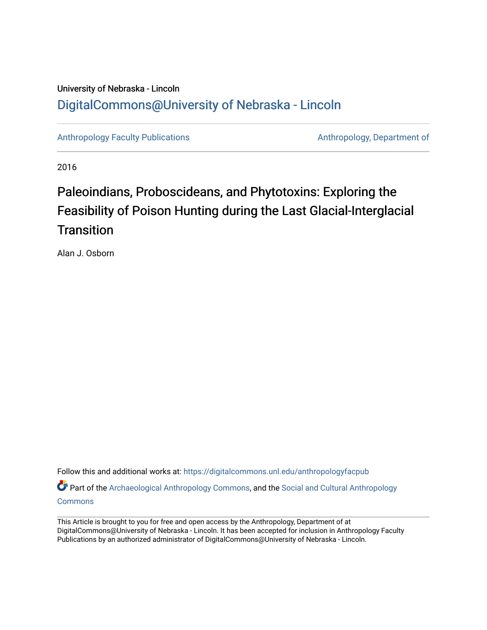## University of Nebraska - Lincoln [DigitalCommons@University of Nebraska - Lincoln](https://digitalcommons.unl.edu/)

[Anthropology Faculty Publications](https://digitalcommons.unl.edu/anthropologyfacpub) **Anthropology, Department of** 

2016

# Paleoindians, Proboscideans, and Phytotoxins: Exploring the Feasibility of Poison Hunting during the Last Glacial-Interglacial **Transition**

Alan J. Osborn

Follow this and additional works at: [https://digitalcommons.unl.edu/anthropologyfacpub](https://digitalcommons.unl.edu/anthropologyfacpub?utm_source=digitalcommons.unl.edu%2Fanthropologyfacpub%2F186&utm_medium=PDF&utm_campaign=PDFCoverPages) Part of the [Archaeological Anthropology Commons](http://network.bepress.com/hgg/discipline/319?utm_source=digitalcommons.unl.edu%2Fanthropologyfacpub%2F186&utm_medium=PDF&utm_campaign=PDFCoverPages), and the [Social and Cultural Anthropology](http://network.bepress.com/hgg/discipline/323?utm_source=digitalcommons.unl.edu%2Fanthropologyfacpub%2F186&utm_medium=PDF&utm_campaign=PDFCoverPages) [Commons](http://network.bepress.com/hgg/discipline/323?utm_source=digitalcommons.unl.edu%2Fanthropologyfacpub%2F186&utm_medium=PDF&utm_campaign=PDFCoverPages)

This Article is brought to you for free and open access by the Anthropology, Department of at DigitalCommons@University of Nebraska - Lincoln. It has been accepted for inclusion in Anthropology Faculty Publications by an authorized administrator of DigitalCommons@University of Nebraska - Lincoln.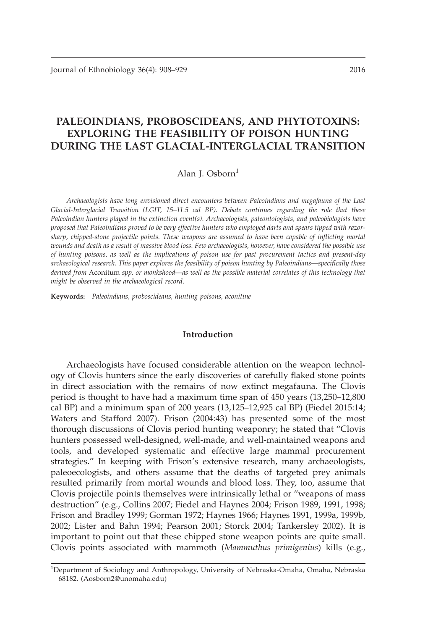### PALEOINDIANS, PROBOSCIDEANS, AND PHYTOTOXINS: EXPLORING THE FEASIBILITY OF POISON HUNTING DURING THE LAST GLACIAL-INTERGLACIAL TRANSITION

### Alan J. Osborn<sup>1</sup>

Archaeologists have long envisioned direct encounters between Paleoindians and megafauna of the Last Glacial-Interglacial Transition (LGIT, 15–11.5 cal BP). Debate continues regarding the role that these Paleoindian hunters played in the extinction event(s). Archaeologists, paleontologists, and paleobiologists have proposed that Paleoindians proved to be very effective hunters who employed darts and spears tipped with razorsharp, chipped-stone projectile points. These weapons are assumed to have been capable of inflicting mortal wounds and death as a result of massive blood loss. Few archaeologists, however, have considered the possible use of hunting poisons, as well as the implications of poison use for past procurement tactics and present-day archaeological research. This paper explores the feasibility of poison hunting by Paleoindians—specifically those derived from Aconitum spp. or monkshood—as well as the possible material correlates of this technology that might be observed in the archaeological record.

Keywords: Paleoindians, proboscideans, hunting poisons, aconitine

### Introduction

Archaeologists have focused considerable attention on the weapon technology of Clovis hunters since the early discoveries of carefully flaked stone points in direct association with the remains of now extinct megafauna. The Clovis period is thought to have had a maximum time span of 450 years (13,250–12,800 cal BP) and a minimum span of 200 years (13,125–12,925 cal BP) (Fiedel 2015:14; Waters and Stafford 2007). Frison (2004:43) has presented some of the most thorough discussions of Clovis period hunting weaponry; he stated that ''Clovis hunters possessed well-designed, well-made, and well-maintained weapons and tools, and developed systematic and effective large mammal procurement strategies.'' In keeping with Frison's extensive research, many archaeologists, paleoecologists, and others assume that the deaths of targeted prey animals resulted primarily from mortal wounds and blood loss. They, too, assume that Clovis projectile points themselves were intrinsically lethal or ''weapons of mass destruction'' (e.g., Collins 2007; Fiedel and Haynes 2004; Frison 1989, 1991, 1998; Frison and Bradley 1999; Gorman 1972; Haynes 1966; Haynes 1991, 1999a, 1999b, 2002; Lister and Bahn 1994; Pearson 2001; Storck 2004; Tankersley 2002). It is important to point out that these chipped stone weapon points are quite small. Clovis points associated with mammoth (Mammuthus primigenius) kills (e.g.,

<sup>&</sup>lt;sup>1</sup>Department of Sociology and Anthropology, University of Nebraska-Omaha, Omaha, Nebraska 68182. (Aosborn2@unomaha.edu)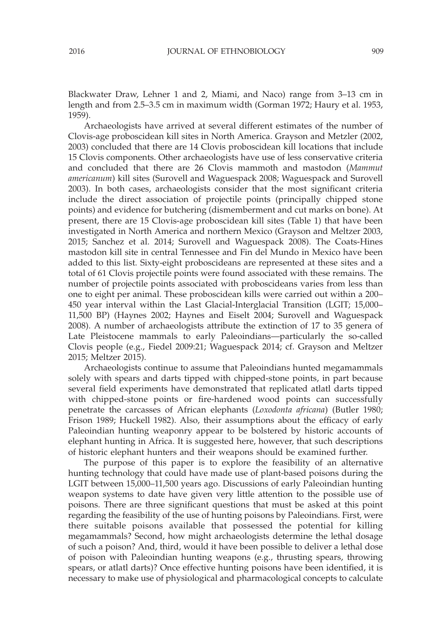Blackwater Draw, Lehner 1 and 2, Miami, and Naco) range from 3–13 cm in length and from 2.5–3.5 cm in maximum width (Gorman 1972; Haury et al. 1953, 1959).

Archaeologists have arrived at several different estimates of the number of Clovis-age proboscidean kill sites in North America. Grayson and Metzler (2002, 2003) concluded that there are 14 Clovis proboscidean kill locations that include 15 Clovis components. Other archaeologists have use of less conservative criteria and concluded that there are 26 Clovis mammoth and mastodon (Mammut americanum) kill sites (Surovell and Waguespack 2008; Waguespack and Surovell 2003). In both cases, archaeologists consider that the most significant criteria include the direct association of projectile points (principally chipped stone points) and evidence for butchering (dismemberment and cut marks on bone). At present, there are 15 Clovis-age proboscidean kill sites (Table 1) that have been investigated in North America and northern Mexico (Grayson and Meltzer 2003, 2015; Sanchez et al. 2014; Surovell and Waguespack 2008). The Coats-Hines mastodon kill site in central Tennessee and Fin del Mundo in Mexico have been added to this list. Sixty-eight proboscideans are represented at these sites and a total of 61 Clovis projectile points were found associated with these remains. The number of projectile points associated with proboscideans varies from less than one to eight per animal. These proboscidean kills were carried out within a 200– 450 year interval within the Last Glacial-Interglacial Transition (LGIT; 15,000– 11,500 BP) (Haynes 2002; Haynes and Eiselt 2004; Surovell and Waguespack 2008). A number of archaeologists attribute the extinction of 17 to 35 genera of Late Pleistocene mammals to early Paleoindians—particularly the so-called Clovis people (e.g., Fiedel 2009:21; Waguespack 2014; cf. Grayson and Meltzer 2015; Meltzer 2015).

Archaeologists continue to assume that Paleoindians hunted megamammals solely with spears and darts tipped with chipped-stone points, in part because several field experiments have demonstrated that replicated atlatl darts tipped with chipped-stone points or fire-hardened wood points can successfully penetrate the carcasses of African elephants (Loxodonta africana) (Butler 1980; Frison 1989; Huckell 1982). Also, their assumptions about the efficacy of early Paleoindian hunting weaponry appear to be bolstered by historic accounts of elephant hunting in Africa. It is suggested here, however, that such descriptions of historic elephant hunters and their weapons should be examined further.

The purpose of this paper is to explore the feasibility of an alternative hunting technology that could have made use of plant-based poisons during the LGIT between 15,000–11,500 years ago. Discussions of early Paleoindian hunting weapon systems to date have given very little attention to the possible use of poisons. There are three significant questions that must be asked at this point regarding the feasibility of the use of hunting poisons by Paleoindians. First, were there suitable poisons available that possessed the potential for killing megamammals? Second, how might archaeologists determine the lethal dosage of such a poison? And, third, would it have been possible to deliver a lethal dose of poison with Paleoindian hunting weapons (e.g., thrusting spears, throwing spears, or atlatl darts)? Once effective hunting poisons have been identified, it is necessary to make use of physiological and pharmacological concepts to calculate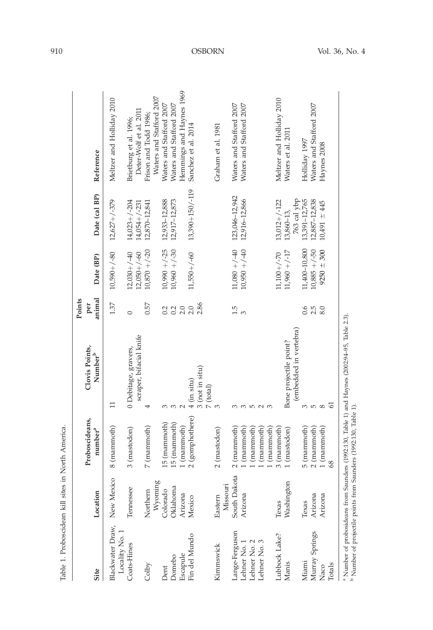| Table 1. Proboscidean kill sites   |                     | in North America.                                                           |                                                                                                   |                             |                                   |                                        |                                                   |
|------------------------------------|---------------------|-----------------------------------------------------------------------------|---------------------------------------------------------------------------------------------------|-----------------------------|-----------------------------------|----------------------------------------|---------------------------------------------------|
| Site                               | Location            | Proboscideans,<br>number <sup>a</sup>                                       | Clovis Points,<br>Number <sup>b</sup>                                                             | animal<br>Points<br>per     | Date (BP)                         | Date (cal BP)                          | Reference                                         |
| Blackwater Draw,<br>Locality No. 1 | New Mexico          | 8 (mammoth)                                                                 | 급                                                                                                 | 1.37                        | $10,590 + (-80)$                  | $12,627 + (-379)$                      | Meltzer and Holliday 2010                         |
| Coats-Hines                        | Tennessee           | 3 (mastodon)                                                                | scraper, bifacial knife<br>0 Debitage, gravers,                                                   | $\circ$                     | $12,050 + (-60)$<br>$12,030+/-40$ | $14,023 + / -204$<br>$14,054 + (-231)$ | Deter-Wolf et al. 2011<br>Brietburg et al. 1996;  |
| Colby                              | Wyoming<br>Northern | 7 (mammoth)                                                                 | 4                                                                                                 | 0.57                        | $10,870 + (-20)$                  | 12,870-12,841                          | Waters and Stafford 2007<br>Frison and Todd 1986; |
| Dent                               | Colorado            | 15 (mammoth)                                                                | S                                                                                                 |                             | $10,990 + (-25$                   | 12,933-12,888                          | Waters and Stafford 2007                          |
| Domebo                             | Oklahoma            | 15 (mammoth)                                                                | S                                                                                                 | 0.2                         | $10,960 + (-30)$                  | 12,917-12,873                          | Waters and Stafford 2007                          |
| Escapule                           | Arizona             | 1 (mammoth)                                                                 | $\sim$                                                                                            | 2.0                         |                                   |                                        | Hemmings and Haynes 1969                          |
| Fin del Mundo                      | Mexico              | 2 (gomphothere)                                                             | $4$ (in situ)                                                                                     | 2.0                         | $11,550+/-60$                     | 13,390+150/-119                        | Sanchez et al. 2014                               |
|                                    |                     |                                                                             | $3$ (not in situ)<br>$7$ (total)                                                                  | 2.86                        |                                   |                                        |                                                   |
| Kimmswick                          | Missouri<br>Eastern | 2 (mastodon)                                                                | S                                                                                                 |                             |                                   |                                        | Graham et al. 1981                                |
| Lange-Ferguson                     | South Dakota        | 2 (mammoth)                                                                 |                                                                                                   |                             | $11,080 + (-40)$                  | 123,046-12,942                         | Waters and Stafford 2007                          |
| Lehner No. 1                       | Arizona             | (mammoth)                                                                   |                                                                                                   | $\frac{1}{3}$ $\frac{5}{3}$ | $10,950 + (-40)$                  | 12,916-12,866                          | Waters and Stafford 2007                          |
|                                    |                     |                                                                             |                                                                                                   |                             |                                   |                                        |                                                   |
| Lehner No. 3<br>Lehner No. 2       |                     | (mammoth)<br>(mammoth)                                                      | 10 U W                                                                                            |                             |                                   |                                        |                                                   |
|                                    |                     | 1 (mammoth)                                                                 |                                                                                                   |                             |                                   |                                        |                                                   |
| Lubbock Lake?                      | Texas               | 3 (mammoth)                                                                 |                                                                                                   |                             | $11,100+/-70$                     | $13,012+/-122$                         | Meltzer and Holliday 2010                         |
| Manis                              | Washington          | (mastodon)                                                                  | (embedded in vertebra)<br>Bone projectile point?                                                  |                             | $11,960 + 7 - 17$                 | 763 cal ybp<br>13,860-13,              | Waters et al. 2011                                |
| Miami                              | Texas               | 5 (mammoth)                                                                 | 3                                                                                                 | 0.6                         | 11,400-10,800                     | 13,391-12,765                          | Holliday 1997                                     |
| Murray Springs                     | Arizona             | 2 (mammoth)                                                                 | 5                                                                                                 | $2.5$<br>8.0                | $10,885 + (-50)$                  | 12,887-12,838                          | Waters and Stafford 2007                          |
| Naco                               | Arizona             | 1 (mammoth)                                                                 | $\infty$                                                                                          |                             | $9250 \pm 300$                    | $10,491 \pm 445$                       | Haynes 2008                                       |
| Totals                             |                     |                                                                             | 5                                                                                                 |                             |                                   |                                        |                                                   |
|                                    |                     | <sup>b</sup> Number of projectile points from Saunders (1992:130, Table 1). | $^a$ Number of probosideans from Saunders (1992:130, Table 1) and Haynes (2002:94-95, Table 2.3). |                             |                                   |                                        |                                                   |

Table 1. Proboscidean kill sites in North America.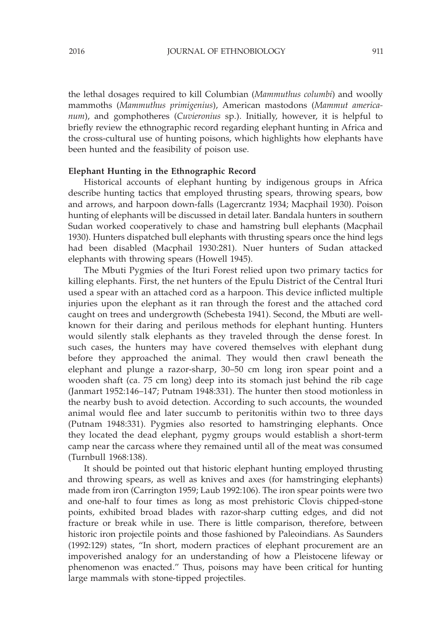the lethal dosages required to kill Columbian (Mammuthus columbi) and woolly mammoths (Mammuthus primigenius), American mastodons (Mammut americanum), and gomphotheres (*Cuvieronius* sp.). Initially, however, it is helpful to briefly review the ethnographic record regarding elephant hunting in Africa and the cross-cultural use of hunting poisons, which highlights how elephants have been hunted and the feasibility of poison use.

### Elephant Hunting in the Ethnographic Record

Historical accounts of elephant hunting by indigenous groups in Africa describe hunting tactics that employed thrusting spears, throwing spears, bow and arrows, and harpoon down-falls (Lagercrantz 1934; Macphail 1930). Poison hunting of elephants will be discussed in detail later. Bandala hunters in southern Sudan worked cooperatively to chase and hamstring bull elephants (Macphail 1930). Hunters dispatched bull elephants with thrusting spears once the hind legs had been disabled (Macphail 1930:281). Nuer hunters of Sudan attacked elephants with throwing spears (Howell 1945).

The Mbuti Pygmies of the Ituri Forest relied upon two primary tactics for killing elephants. First, the net hunters of the Epulu District of the Central Ituri used a spear with an attached cord as a harpoon. This device inflicted multiple injuries upon the elephant as it ran through the forest and the attached cord caught on trees and undergrowth (Schebesta 1941). Second, the Mbuti are wellknown for their daring and perilous methods for elephant hunting. Hunters would silently stalk elephants as they traveled through the dense forest. In such cases, the hunters may have covered themselves with elephant dung before they approached the animal. They would then crawl beneath the elephant and plunge a razor-sharp, 30–50 cm long iron spear point and a wooden shaft (ca. 75 cm long) deep into its stomach just behind the rib cage (Janmart 1952:146–147; Putnam 1948:331). The hunter then stood motionless in the nearby bush to avoid detection. According to such accounts, the wounded animal would flee and later succumb to peritonitis within two to three days (Putnam 1948:331). Pygmies also resorted to hamstringing elephants. Once they located the dead elephant, pygmy groups would establish a short-term camp near the carcass where they remained until all of the meat was consumed (Turnbull 1968:138).

It should be pointed out that historic elephant hunting employed thrusting and throwing spears, as well as knives and axes (for hamstringing elephants) made from iron (Carrington 1959; Laub 1992:106). The iron spear points were two and one-half to four times as long as most prehistoric Clovis chipped-stone points, exhibited broad blades with razor-sharp cutting edges, and did not fracture or break while in use. There is little comparison, therefore, between historic iron projectile points and those fashioned by Paleoindians. As Saunders (1992:129) states, ''In short, modern practices of elephant procurement are an impoverished analogy for an understanding of how a Pleistocene lifeway or phenomenon was enacted.'' Thus, poisons may have been critical for hunting large mammals with stone-tipped projectiles.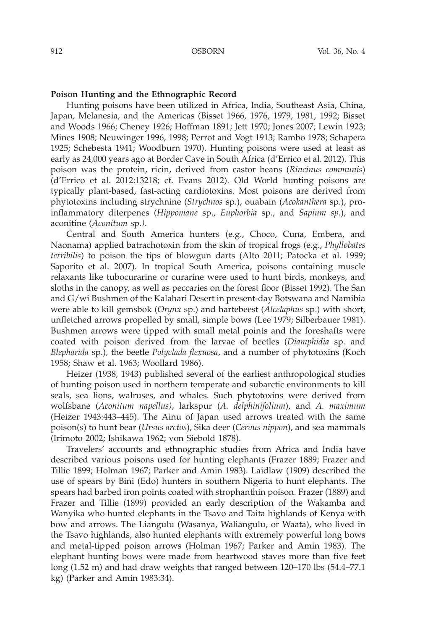### Poison Hunting and the Ethnographic Record

Hunting poisons have been utilized in Africa, India, Southeast Asia, China, Japan, Melanesia, and the Americas (Bisset 1966, 1976, 1979, 1981, 1992; Bisset and Woods 1966; Cheney 1926; Hoffman 1891; Jett 1970; Jones 2007; Lewin 1923; Mines 1908; Neuwinger 1996, 1998; Perrot and Vogt 1913; Rambo 1978; Schapera 1925; Schebesta 1941; Woodburn 1970). Hunting poisons were used at least as early as 24,000 years ago at Border Cave in South Africa (d'Errico et al. 2012). This poison was the protein, ricin, derived from castor beans (Rincinus communis) (d'Errico et al. 2012:13218; cf. Evans 2012). Old World hunting poisons are typically plant-based, fast-acting cardiotoxins. Most poisons are derived from phytotoxins including strychnine (Strychnos sp.), ouabain (Acokanthera sp.), proinflammatory diterpenes (Hippomane sp., Euphorbia sp., and Sapium sp.), and aconitine (Aconitum sp.).

Central and South America hunters (e.g., Choco, Cuna, Embera, and Naonama) applied batrachotoxin from the skin of tropical frogs (e.g., Phyllobates terribilis) to poison the tips of blowgun darts (Alto 2011; Patocka et al. 1999; Saporito et al. 2007). In tropical South America, poisons containing muscle relaxants like tubocurarine or curarine were used to hunt birds, monkeys, and sloths in the canopy, as well as peccaries on the forest floor (Bisset 1992). The San and G/wi Bushmen of the Kalahari Desert in present-day Botswana and Namibia were able to kill gemsbok (*Orynx* sp.) and hartebeest (*Alcelaphus* sp.) with short, unfletched arrows propelled by small, simple bows (Lee 1979; Silberbauer 1981). Bushmen arrows were tipped with small metal points and the foreshafts were coated with poison derived from the larvae of beetles (Diamphidia sp. and Blepharida sp.), the beetle Polyclada flexuosa, and a number of phytotoxins (Koch 1958; Shaw et al. 1963; Woollard 1986).

Heizer (1938, 1943) published several of the earliest anthropological studies of hunting poison used in northern temperate and subarctic environments to kill seals, sea lions, walruses, and whales. Such phytotoxins were derived from wolfsbane (Aconitum napellus), larkspur (A. delphinifolium), and A. maximum (Heizer 1943:443–445). The Ainu of Japan used arrows treated with the same poison(s) to hunt bear (Ursus arctos), Sika deer (Cervus nippon), and sea mammals (Irimoto 2002; Ishikawa 1962; von Siebold 1878).

Travelers' accounts and ethnographic studies from Africa and India have described various poisons used for hunting elephants (Frazer 1889; Frazer and Tillie 1899; Holman 1967; Parker and Amin 1983). Laidlaw (1909) described the use of spears by Bini (Edo) hunters in southern Nigeria to hunt elephants. The spears had barbed iron points coated with strophanthin poison. Frazer (1889) and Frazer and Tillie (1899) provided an early description of the Wakamba and Wanyika who hunted elephants in the Tsavo and Taita highlands of Kenya with bow and arrows. The Liangulu (Wasanya, Waliangulu, or Waata), who lived in the Tsavo highlands, also hunted elephants with extremely powerful long bows and metal-tipped poison arrows (Holman 1967; Parker and Amin 1983). The elephant hunting bows were made from heartwood staves more than five feet long (1.52 m) and had draw weights that ranged between 120–170 lbs (54.4–77.1 kg) (Parker and Amin 1983:34).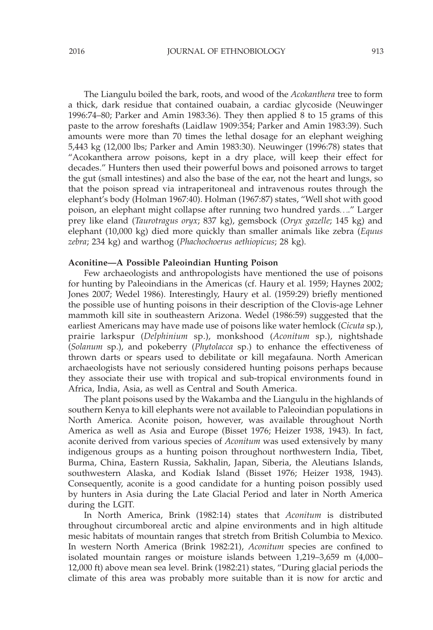The Liangulu boiled the bark, roots, and wood of the Acokanthera tree to form a thick, dark residue that contained ouabain, a cardiac glycoside (Neuwinger 1996:74–80; Parker and Amin 1983:36). They then applied 8 to 15 grams of this paste to the arrow foreshafts (Laidlaw 1909:354; Parker and Amin 1983:39). Such amounts were more than 70 times the lethal dosage for an elephant weighing 5,443 kg (12,000 lbs; Parker and Amin 1983:30). Neuwinger (1996:78) states that ''Acokanthera arrow poisons, kept in a dry place, will keep their effect for decades.'' Hunters then used their powerful bows and poisoned arrows to target the gut (small intestines) and also the base of the ear, not the heart and lungs, so that the poison spread via intraperitoneal and intravenous routes through the elephant's body (Holman 1967:40). Holman (1967:87) states, ''Well shot with good poison, an elephant might collapse after running two hundred yards....'' Larger prey like eland (Taurotragus oryx; 837 kg), gemsbock (Oryx gazelle; 145 kg) and elephant (10,000 kg) died more quickly than smaller animals like zebra (Equus zebra; 234 kg) and warthog (Phachochoerus aethiopicus; 28 kg).

### Aconitine—A Possible Paleoindian Hunting Poison

Few archaeologists and anthropologists have mentioned the use of poisons for hunting by Paleoindians in the Americas (cf. Haury et al. 1959; Haynes 2002; Jones 2007; Wedel 1986). Interestingly, Haury et al. (1959:29) briefly mentioned the possible use of hunting poisons in their description of the Clovis-age Lehner mammoth kill site in southeastern Arizona. Wedel (1986:59) suggested that the earliest Americans may have made use of poisons like water hemlock (*Cicuta* sp.), prairie larkspur (Delphinium sp.), monkshood (Aconitum sp.), nightshade (Solanum sp.), and pokeberry (Phytolacca sp.) to enhance the effectiveness of thrown darts or spears used to debilitate or kill megafauna. North American archaeologists have not seriously considered hunting poisons perhaps because they associate their use with tropical and sub-tropical environments found in Africa, India, Asia, as well as Central and South America.

The plant poisons used by the Wakamba and the Liangulu in the highlands of southern Kenya to kill elephants were not available to Paleoindian populations in North America. Aconite poison, however, was available throughout North America as well as Asia and Europe (Bisset 1976; Heizer 1938, 1943). In fact, aconite derived from various species of Aconitum was used extensively by many indigenous groups as a hunting poison throughout northwestern India, Tibet, Burma, China, Eastern Russia, Sakhalin, Japan, Siberia, the Aleutians Islands, southwestern Alaska, and Kodiak Island (Bisset 1976; Heizer 1938, 1943). Consequently, aconite is a good candidate for a hunting poison possibly used by hunters in Asia during the Late Glacial Period and later in North America during the LGIT.

In North America, Brink (1982:14) states that Aconitum is distributed throughout circumboreal arctic and alpine environments and in high altitude mesic habitats of mountain ranges that stretch from British Columbia to Mexico. In western North America (Brink 1982:21), Aconitum species are confined to isolated mountain ranges or moisture islands between 1,219–3,659 m (4,000– 12,000 ft) above mean sea level. Brink (1982:21) states, ''During glacial periods the climate of this area was probably more suitable than it is now for arctic and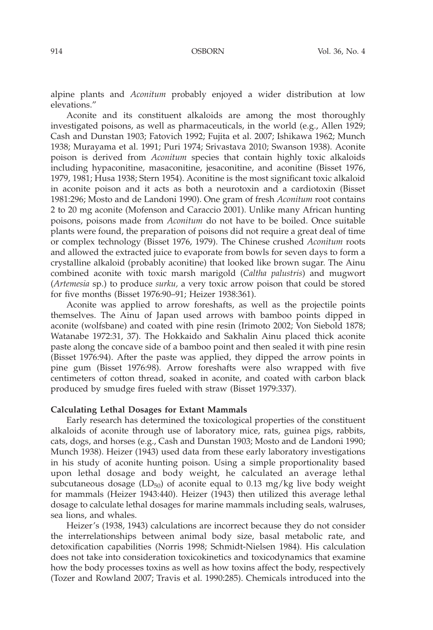alpine plants and Aconitum probably enjoyed a wider distribution at low elevations.''

Aconite and its constituent alkaloids are among the most thoroughly investigated poisons, as well as pharmaceuticals, in the world (e.g., Allen 1929; Cash and Dunstan 1903; Fatovich 1992; Fujita et al. 2007; Ishikawa 1962; Munch 1938; Murayama et al. 1991; Puri 1974; Srivastava 2010; Swanson 1938). Aconite poison is derived from Aconitum species that contain highly toxic alkaloids including hypaconitine, masaconitine, jesaconitine, and aconitine (Bisset 1976, 1979, 1981; Husa 1938; Stern 1954). Aconitine is the most significant toxic alkaloid in aconite poison and it acts as both a neurotoxin and a cardiotoxin (Bisset 1981:296; Mosto and de Landoni 1990). One gram of fresh Aconitum root contains 2 to 20 mg aconite (Mofenson and Caraccio 2001). Unlike many African hunting poisons, poisons made from Aconitum do not have to be boiled. Once suitable plants were found, the preparation of poisons did not require a great deal of time or complex technology (Bisset 1976, 1979). The Chinese crushed Aconitum roots and allowed the extracted juice to evaporate from bowls for seven days to form a crystalline alkaloid (probably aconitine) that looked like brown sugar. The Ainu combined aconite with toxic marsh marigold (Caltha palustris) and mugwort (Artemesia sp.) to produce surku, a very toxic arrow poison that could be stored for five months (Bisset 1976:90–91; Heizer 1938:361).

Aconite was applied to arrow foreshafts, as well as the projectile points themselves. The Ainu of Japan used arrows with bamboo points dipped in aconite (wolfsbane) and coated with pine resin (Irimoto 2002; Von Siebold 1878; Watanabe 1972:31, 37). The Hokkaido and Sakhalin Ainu placed thick aconite paste along the concave side of a bamboo point and then sealed it with pine resin (Bisset 1976:94). After the paste was applied, they dipped the arrow points in pine gum (Bisset 1976:98). Arrow foreshafts were also wrapped with five centimeters of cotton thread, soaked in aconite, and coated with carbon black produced by smudge fires fueled with straw (Bisset 1979:337).

### Calculating Lethal Dosages for Extant Mammals

Early research has determined the toxicological properties of the constituent alkaloids of aconite through use of laboratory mice, rats, guinea pigs, rabbits, cats, dogs, and horses (e.g., Cash and Dunstan 1903; Mosto and de Landoni 1990; Munch 1938). Heizer (1943) used data from these early laboratory investigations in his study of aconite hunting poison. Using a simple proportionality based upon lethal dosage and body weight, he calculated an average lethal subcutaneous dosage  $(LD_{50})$  of aconite equal to 0.13 mg/kg live body weight for mammals (Heizer 1943:440). Heizer (1943) then utilized this average lethal dosage to calculate lethal dosages for marine mammals including seals, walruses, sea lions, and whales.

Heizer's (1938, 1943) calculations are incorrect because they do not consider the interrelationships between animal body size, basal metabolic rate, and detoxification capabilities (Norris 1998; Schmidt-Nielsen 1984). His calculation does not take into consideration toxicokinetics and toxicodynamics that examine how the body processes toxins as well as how toxins affect the body, respectively (Tozer and Rowland 2007; Travis et al. 1990:285). Chemicals introduced into the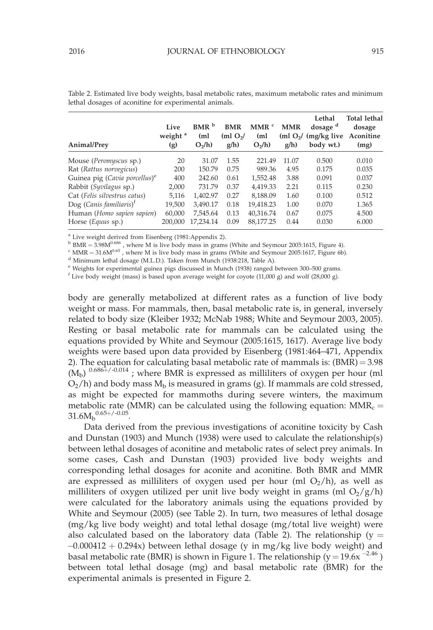| Animal/Prey                               | Live<br>weight <sup>a</sup><br>(g) | $BMR^b$<br>(m <sub>l</sub> )<br>O <sub>2</sub> /h | <b>BMR</b><br>$(ml \Omega_2)$<br>$g/h$ ) | MMR <sup>c</sup><br>(ml<br>O <sub>2</sub> /h | <b>MMR</b><br>(ml O <sub>2</sub> /<br>$g/h$ ) | Lethal<br>dosage <sup>d</sup><br>$(mg/kg$ live<br>body wt.) | Total lethal<br>dosage<br>Aconitine<br>(mg) |
|-------------------------------------------|------------------------------------|---------------------------------------------------|------------------------------------------|----------------------------------------------|-----------------------------------------------|-------------------------------------------------------------|---------------------------------------------|
| Mouse ( <i>Peromyscus sp.</i> )           | 20                                 | 31.07                                             | 1.55                                     | 221.49                                       | 11.07                                         | 0.500                                                       | 0.010                                       |
| Rat (Rattus norvegicus)                   | 200                                | 150.79                                            | 0.75                                     | 989.36                                       | 4.95                                          | 0.175                                                       | 0.035                                       |
| Guinea pig (Cavia porcellus) <sup>e</sup> | 400                                | 242.60                                            | 0.61                                     | 1,552.48                                     | 3.88                                          | 0.091                                                       | 0.037                                       |
| Rabbit (Syvilagus sp.)                    | 2,000                              | 731.79                                            | 0.37                                     | 4,419.33                                     | 2.21                                          | 0.115                                                       | 0.230                                       |
| Cat (Felis silvestrus catus)              | 5.116                              | 1,402.97                                          | 0.27                                     | 8,188.09                                     | 1.60                                          | 0.100                                                       | 0.512                                       |
| Dog (Canis familiaris) <sup>t</sup>       | 19,500                             | 3.490.17                                          | 0.18                                     | 19,418.23                                    | 1.00                                          | 0.070                                                       | 1.365                                       |
| Human (Homo sapien sapien)                | 60,000                             | 7,545.64                                          | 0.13                                     | 40,316.74                                    | 0.67                                          | 0.075                                                       | 4.500                                       |
| Horse ( <i>Equus</i> sp.)                 | 200.000                            | 17.234.14                                         | 0.09                                     | 88.177.25                                    | 0.44                                          | 0.030                                                       | 6.000                                       |

Table 2. Estimated live body weights, basal metabolic rates, maximum metabolic rates and minimum lethal dosages of aconitine for experimental animals.

<sup>a</sup> Live weight derived from Eisenberg (1981:Appendix 2).

 $<sup>b</sup>$  BMR = 3.98 $M^{0.686}$  , where M is live body mass in grams (White and Seymour 2005:1615, Figure 4).</sup>

 $\rm c$  MMR = 31.6M $\rm ^{0.65}$  , where M is live body mass in grams (White and Seymour 2005:1617, Figure 6b).

<sup>d</sup> Minimum lethal dosage (M.L.D.). Taken from Munch (1938:218, Table A).

<sup>e</sup> Weights for experimental guinea pigs discussed in Munch (1938) ranged between 300–500 grams.

<sup>f</sup> Live body weight (mass) is based upon average weight for coyote (11,000 g) and wolf (28,000 g).

body are generally metabolized at different rates as a function of live body weight or mass. For mammals, then, basal metabolic rate is, in general, inversely related to body size (Kleiber 1932; McNab 1988; White and Seymour 2003, 2005). Resting or basal metabolic rate for mammals can be calculated using the equations provided by White and Seymour (2005:1615, 1617). Average live body weights were based upon data provided by Eisenberg (1981:464–471, Appendix 2). The equation for calculating basal metabolic rate of mammals is:  $(BMR) = 3.98$  $(M_h)$  0.686+/-0.014 ; where BMR is expressed as milliliters of oxygen per hour (ml  $O_2/h$ ) and body mass  $M_b$  is measured in grams (g). If mammals are cold stressed, as might be expected for mammoths during severe winters, the maximum metabolic rate (MMR) can be calculated using the following equation:  $MMR_c =$  $31.6M_b^{0.65+/0.05}$ .

Data derived from the previous investigations of aconitine toxicity by Cash and Dunstan (1903) and Munch (1938) were used to calculate the relationship(s) between lethal dosages of aconitine and metabolic rates of select prey animals. In some cases, Cash and Dunstan (1903) provided live body weights and corresponding lethal dosages for aconite and aconitine. Both BMR and MMR are expressed as milliliters of oxygen used per hour (ml  $O_2/h$ ), as well as milliliters of oxygen utilized per unit live body weight in grams (ml  $O_2/g/h$ ) were calculated for the laboratory animals using the equations provided by White and Seymour (2005) (see Table 2). In turn, two measures of lethal dosage (mg/kg live body weight) and total lethal dosage (mg/total live weight) were also calculated based on the laboratory data (Table 2). The relationship ( $y =$  $-0.000412 + 0.294x$ ) between lethal dosage (y in mg/kg live body weight) and basal metabolic rate (BMR) is shown in Figure 1. The relationship ( $y = 19.6x^{-2.46}$ ) between total lethal dosage (mg) and basal metabolic rate (BMR) for the experimental animals is presented in Figure 2.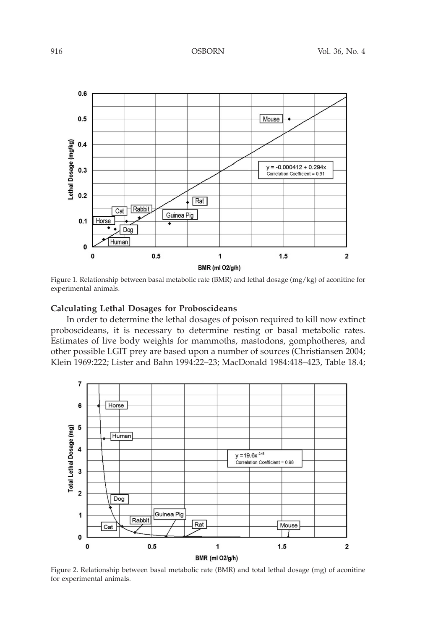

Figure 1. Relationship between basal metabolic rate (BMR) and lethal dosage (mg/kg) of aconitine for experimental animals.

### Calculating Lethal Dosages for Proboscideans

In order to determine the lethal dosages of poison required to kill now extinct proboscideans, it is necessary to determine resting or basal metabolic rates. Estimates of live body weights for mammoths, mastodons, gomphotheres, and other possible LGIT prey are based upon a number of sources (Christiansen 2004; Klein 1969:222; Lister and Bahn 1994:22–23; MacDonald 1984:418–423, Table 18.4;



Figure 2. Relationship between basal metabolic rate (BMR) and total lethal dosage (mg) of aconitine for experimental animals.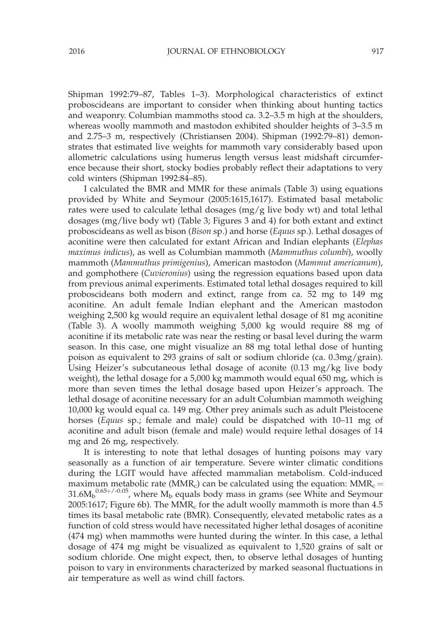Shipman 1992:79–87, Tables 1–3). Morphological characteristics of extinct proboscideans are important to consider when thinking about hunting tactics and weaponry. Columbian mammoths stood ca. 3.2–3.5 m high at the shoulders, whereas woolly mammoth and mastodon exhibited shoulder heights of 3–3.5 m and 2.75–3 m, respectively (Christiansen 2004). Shipman (1992:79–81) demonstrates that estimated live weights for mammoth vary considerably based upon allometric calculations using humerus length versus least midshaft circumference because their short, stocky bodies probably reflect their adaptations to very cold winters (Shipman 1992:84–85).

I calculated the BMR and MMR for these animals (Table 3) using equations provided by White and Seymour (2005:1615,1617). Estimated basal metabolic rates were used to calculate lethal dosages  $(mg/g$  live body wt) and total lethal dosages (mg/live body wt) (Table 3; Figures 3 and 4) for both extant and extinct proboscideans as well as bison (Bison sp.) and horse (Equus sp.). Lethal dosages of aconitine were then calculated for extant African and Indian elephants (Elephas maximus indicus), as well as Columbian mammoth (Mammuthus columbi), woolly mammoth (Mammuthus primigenius), American mastodon (Mammut americanum), and gomphothere (Cuvieronius) using the regression equations based upon data from previous animal experiments. Estimated total lethal dosages required to kill proboscideans both modern and extinct, range from ca. 52 mg to 149 mg aconitine. An adult female Indian elephant and the American mastodon weighing 2,500 kg would require an equivalent lethal dosage of 81 mg aconitine (Table 3). A woolly mammoth weighing 5,000 kg would require 88 mg of aconitine if its metabolic rate was near the resting or basal level during the warm season. In this case, one might visualize an 88 mg total lethal dose of hunting poison as equivalent to 293 grains of salt or sodium chloride (ca. 0.3mg/grain). Using Heizer's subcutaneous lethal dosage of aconite (0.13 mg/kg live body weight), the lethal dosage for a 5,000 kg mammoth would equal 650 mg, which is more than seven times the lethal dosage based upon Heizer's approach. The lethal dosage of aconitine necessary for an adult Columbian mammoth weighing 10,000 kg would equal ca. 149 mg. Other prey animals such as adult Pleistocene horses (Equus sp.; female and male) could be dispatched with 10–11 mg of aconitine and adult bison (female and male) would require lethal dosages of 14 mg and 26 mg, respectively.

It is interesting to note that lethal dosages of hunting poisons may vary seasonally as a function of air temperature. Severe winter climatic conditions during the LGIT would have affected mammalian metabolism. Cold-induced maximum metabolic rate (MMR<sub>c</sub>) can be calculated using the equation:  $MMR_c =$  $31.6M_b$ <sup>0.65+/-0.05</sup>, where  $M_b$  equals body mass in grams (see White and Seymour  $2005:1617$ ; Figure 6b). The MMR<sub>c</sub> for the adult woolly mammoth is more than 4.5 times its basal metabolic rate (BMR). Consequently, elevated metabolic rates as a function of cold stress would have necessitated higher lethal dosages of aconitine (474 mg) when mammoths were hunted during the winter. In this case, a lethal dosage of 474 mg might be visualized as equivalent to 1,520 grains of salt or sodium chloride. One might expect, then, to observe lethal dosages of hunting poison to vary in environments characterized by marked seasonal fluctuations in air temperature as well as wind chill factors.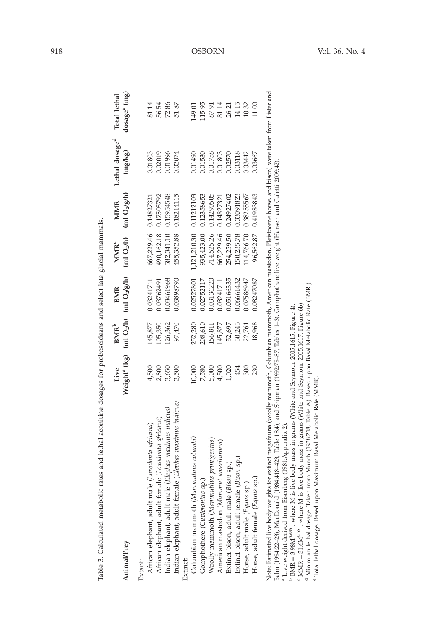| Animal/Prey                                                                                                                                                            | Weight <sup>a</sup> (kg) (ml O <sub>2</sub> /h) (ml O <sub>2</sub> /g/h) (ml O <sub>2</sub> /h) (ml O <sub>2</sub> /g/h)<br>Live | $BMR^b$ | <b>BMIR</b> | MMIR <sup>c</sup> | <b>MMR</b> | Lethal dosage <sup>d</sup><br>(mg/kg) | dosage <sup>e</sup> (mg)<br>Total lethal |
|------------------------------------------------------------------------------------------------------------------------------------------------------------------------|----------------------------------------------------------------------------------------------------------------------------------|---------|-------------|-------------------|------------|---------------------------------------|------------------------------------------|
| Extant:                                                                                                                                                                |                                                                                                                                  |         |             |                   |            |                                       |                                          |
| African elephant, adult male (Loxodonta africana)                                                                                                                      | 4,500                                                                                                                            | 145,877 | 0.03241711  | 667,229.46        | 0.14827321 | 0.01803                               | 81.14                                    |
| African elephant, adult female (Loxodonta africana)                                                                                                                    | 2,800                                                                                                                            | 105,350 | 0.3762491   | 490,162.18        | 0.17505792 | 0.02019                               | 56.54                                    |
| (Elephas maximus indicus)<br>Indian elephant, adult male                                                                                                               | 3,650                                                                                                                            | 126,362 | 0.03461968  | 582,341.10        | 0.15954548 | 0.01996                               | 72.86                                    |
| Indian elephant, adult female (Elephas maximus indicus)                                                                                                                | 2,500                                                                                                                            | 97,470  | 0.03898790  | 455,352.88        | 0.18214115 | 0.02074                               | 51.87                                    |
| Extinct:                                                                                                                                                               |                                                                                                                                  |         |             |                   |            |                                       |                                          |
| Columbian mammoth (Mammuthus columbi)                                                                                                                                  | 0,000                                                                                                                            | 252,280 | 0.02527801  | 1,121,210.30      | 0.11212103 | 0.01490                               | 149.01                                   |
| Gomphothere (Cuvieronius sp.)                                                                                                                                          | 7,580                                                                                                                            | 208,610 | 0.02752117  | 935,423.00        | 0.12358653 | 0.01530                               | 15.95                                    |
| Woolly mammoth (Mammuthus primigenius)                                                                                                                                 | 5,000                                                                                                                            | 156,811 | 0.03136220  | 714,525.26        | 0.14290505 | 0.01758                               | 87.91                                    |
| American mastodon (Mammut americanum)                                                                                                                                  | 4,500                                                                                                                            | 145,877 | 0.03241711  | 667,229.46        | 0.14827321 | 0.01803                               | 81.14                                    |
| Extinct bison, adult male (Bison sp.)                                                                                                                                  | 1,020                                                                                                                            | 52,697  | 0.05166335  | 254,259.50        | 0.24927402 | 0.02570                               |                                          |
| Extinct bison, adult female (Bison sp.)                                                                                                                                | 454                                                                                                                              | 30,243  | 0.06661432  | 150,235.78        | 0.33091823 | 0.3118                                | 26.21<br>14.15                           |
| Horse, adult male (Equus sp.)                                                                                                                                          | $\overline{300}$                                                                                                                 | 22,761  | 1.07586947  | 14,766.70         | 0.38255567 | 1.03442                               | 10.32                                    |
| Horse, adult female (Equus sp.)                                                                                                                                        | 230                                                                                                                              | 18,968  | 0.08247087  | 96,562.87         | 0.41983843 | 0.03667                               | 1.00                                     |
| Note: Estimated live body weights for extinct megafauna (woolly mammoth, Columbian mamoth, American mastodon, Pleistocene horse, and bison) were taken from Lister and |                                                                                                                                  |         |             |                   |            |                                       |                                          |

Table 3. Calculated metabolic rates and lethal aconitine dosages for proboscideans and select late glacial mammals. Table 3. Calculated metabolic rates and lethal aconitine dosages for proboscideans and select late glacial mammals.

Note: Estimated live body weights for extinct megafauna (woolly mammoth, Columbian mammoth, American mastodon, Pleistocene horse, and bison) were taken from Lister and Bahn (1994:22–23), MacDonald (1984:418–423, Table 18.4), and Shipman (1992:79–87, Tables 1–3). Gomphothere live weight (Hansen and Galetti 2009:42). Note: Estimated live body weights for extinct megafauna (woolly mammoth, Columbian mammoth, American mastodon, Pleistocene horse, and pisour, we<br>Bahn (1994:22-23), MacDonald (1984:418-423, Table 18.4), and Shipman (1992:79 Live weight derived from Eisenberg (1981:Appendix 2).

 $b$  BMR  $=$  $=$  3.98M<sup>0.686</sup>, where M is live body mass in grams (White and Seymour 2005:1615, Figure 4).

 $\epsilon$  MMR  $=$  $=$  31.6M<sup>0.65</sup>, where M is live body mass in grams (White and Seymour 2005:1617, Figure 6b).

ত এ Minimum lethal dosage. Taken from Munch (1938:218, Table A). Based upon Basal Metabolic Rate (BMR.).

Total lethal dosage. Based upon Maximum Basal Metabolic Rate (MMR).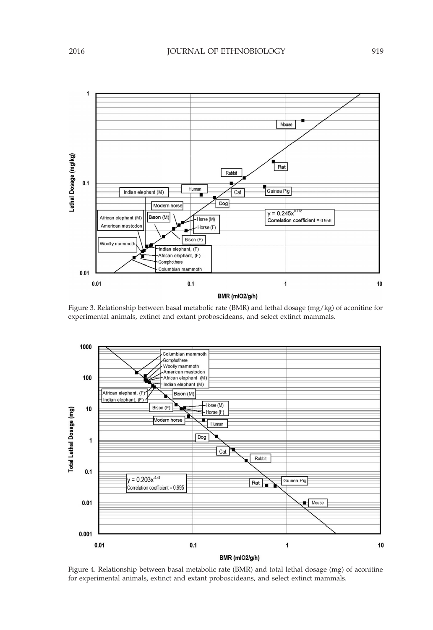

Figure 3. Relationship between basal metabolic rate (BMR) and lethal dosage (mg/kg) of aconitine for experimental animals, extinct and extant proboscideans, and select extinct mammals.



Figure 4. Relationship between basal metabolic rate (BMR) and total lethal dosage (mg) of aconitine for experimental animals, extinct and extant proboscideans, and select extinct mammals.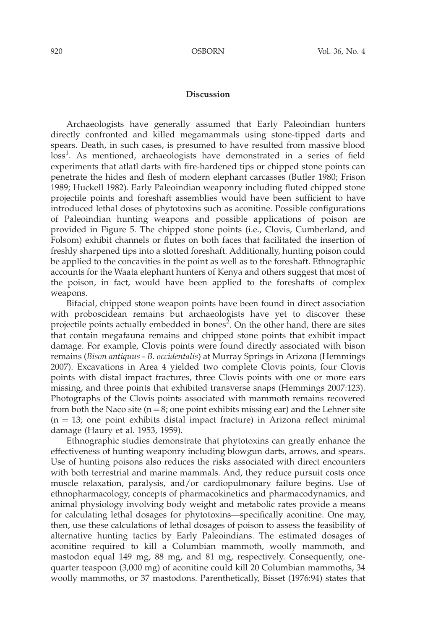### **Discussion**

Archaeologists have generally assumed that Early Paleoindian hunters directly confronted and killed megamammals using stone-tipped darts and spears. Death, in such cases, is presumed to have resulted from massive blood loss<sup>1</sup>. As mentioned, archaeologists have demonstrated in a series of field experiments that atlatl darts with fire-hardened tips or chipped stone points can penetrate the hides and flesh of modern elephant carcasses (Butler 1980; Frison 1989; Huckell 1982). Early Paleoindian weaponry including fluted chipped stone projectile points and foreshaft assemblies would have been sufficient to have introduced lethal doses of phytotoxins such as aconitine. Possible configurations of Paleoindian hunting weapons and possible applications of poison are provided in Figure 5. The chipped stone points (i.e., Clovis, Cumberland, and Folsom) exhibit channels or flutes on both faces that facilitated the insertion of freshly sharpened tips into a slotted foreshaft. Additionally, hunting poison could be applied to the concavities in the point as well as to the foreshaft. Ethnographic accounts for the Waata elephant hunters of Kenya and others suggest that most of the poison, in fact, would have been applied to the foreshafts of complex weapons.

Bifacial, chipped stone weapon points have been found in direct association with proboscidean remains but archaeologists have yet to discover these projectile points actually embedded in bones<sup>2</sup>. On the other hand, there are sites that contain megafauna remains and chipped stone points that exhibit impact damage. For example, Clovis points were found directly associated with bison remains (Bison antiquus - B. occidentalis) at Murray Springs in Arizona (Hemmings 2007). Excavations in Area 4 yielded two complete Clovis points, four Clovis points with distal impact fractures, three Clovis points with one or more ears missing, and three points that exhibited transverse snaps (Hemmings 2007:123). Photographs of the Clovis points associated with mammoth remains recovered from both the Naco site ( $n = 8$ ; one point exhibits missing ear) and the Lehner site  $(n = 13)$ ; one point exhibits distal impact fracture) in Arizona reflect minimal damage (Haury et al. 1953, 1959).

Ethnographic studies demonstrate that phytotoxins can greatly enhance the effectiveness of hunting weaponry including blowgun darts, arrows, and spears. Use of hunting poisons also reduces the risks associated with direct encounters with both terrestrial and marine mammals. And, they reduce pursuit costs once muscle relaxation, paralysis, and/or cardiopulmonary failure begins. Use of ethnopharmacology, concepts of pharmacokinetics and pharmacodynamics, and animal physiology involving body weight and metabolic rates provide a means for calculating lethal dosages for phytotoxins—specifically aconitine. One may, then, use these calculations of lethal dosages of poison to assess the feasibility of alternative hunting tactics by Early Paleoindians. The estimated dosages of aconitine required to kill a Columbian mammoth, woolly mammoth, and mastodon equal 149 mg, 88 mg, and 81 mg, respectively. Consequently, onequarter teaspoon (3,000 mg) of aconitine could kill 20 Columbian mammoths, 34 woolly mammoths, or 37 mastodons. Parenthetically, Bisset (1976:94) states that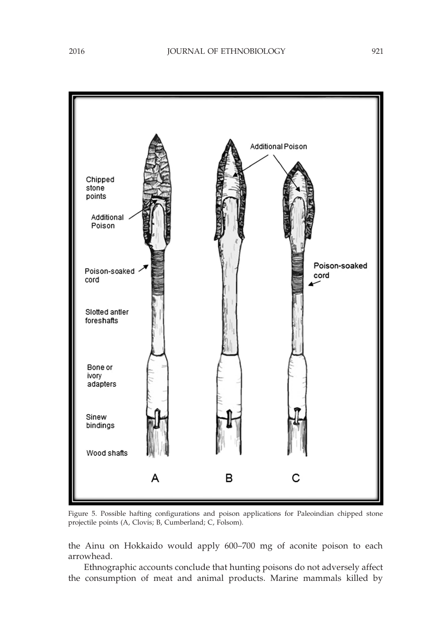

Figure 5. Possible hafting configurations and poison applications for Paleoindian chipped stone projectile points (A, Clovis; B, Cumberland; C, Folsom).

the Ainu on Hokkaido would apply 600–700 mg of aconite poison to each arrowhead.

Ethnographic accounts conclude that hunting poisons do not adversely affect the consumption of meat and animal products. Marine mammals killed by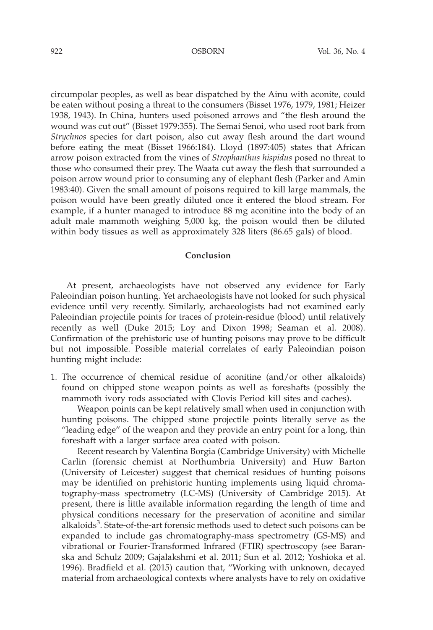circumpolar peoples, as well as bear dispatched by the Ainu with aconite, could be eaten without posing a threat to the consumers (Bisset 1976, 1979, 1981; Heizer 1938, 1943). In China, hunters used poisoned arrows and ''the flesh around the wound was cut out'' (Bisset 1979:355). The Semai Senoi, who used root bark from Strychnos species for dart poison, also cut away flesh around the dart wound before eating the meat (Bisset 1966:184). Lloyd (1897:405) states that African arrow poison extracted from the vines of Strophanthus hispidus posed no threat to those who consumed their prey. The Waata cut away the flesh that surrounded a poison arrow wound prior to consuming any of elephant flesh (Parker and Amin 1983:40). Given the small amount of poisons required to kill large mammals, the poison would have been greatly diluted once it entered the blood stream. For example, if a hunter managed to introduce 88 mg aconitine into the body of an adult male mammoth weighing 5,000 kg, the poison would then be diluted within body tissues as well as approximately 328 liters (86.65 gals) of blood.

### Conclusion

At present, archaeologists have not observed any evidence for Early Paleoindian poison hunting. Yet archaeologists have not looked for such physical evidence until very recently. Similarly, archaeologists had not examined early Paleoindian projectile points for traces of protein-residue (blood) until relatively recently as well (Duke 2015; Loy and Dixon 1998; Seaman et al. 2008). Confirmation of the prehistoric use of hunting poisons may prove to be difficult but not impossible. Possible material correlates of early Paleoindian poison hunting might include:

1. The occurrence of chemical residue of aconitine (and/or other alkaloids) found on chipped stone weapon points as well as foreshafts (possibly the mammoth ivory rods associated with Clovis Period kill sites and caches).

Weapon points can be kept relatively small when used in conjunction with hunting poisons. The chipped stone projectile points literally serve as the ''leading edge'' of the weapon and they provide an entry point for a long, thin foreshaft with a larger surface area coated with poison.

Recent research by Valentina Borgia (Cambridge University) with Michelle Carlin (forensic chemist at Northumbria University) and Huw Barton (University of Leicester) suggest that chemical residues of hunting poisons may be identified on prehistoric hunting implements using liquid chromatography-mass spectrometry (LC-MS) (University of Cambridge 2015). At present, there is little available information regarding the length of time and physical conditions necessary for the preservation of aconitine and similar alkaloids<sup>3</sup>. State-of-the-art forensic methods used to detect such poisons can be expanded to include gas chromatography-mass spectrometry (GS-MS) and vibrational or Fourier-Transformed Infrared (FTIR) spectroscopy (see Baranska and Schulz 2009; Gajalakshmi et al. 2011; Sun et al. 2012; Yoshioka et al. 1996). Bradfield et al. (2015) caution that, ''Working with unknown, decayed material from archaeological contexts where analysts have to rely on oxidative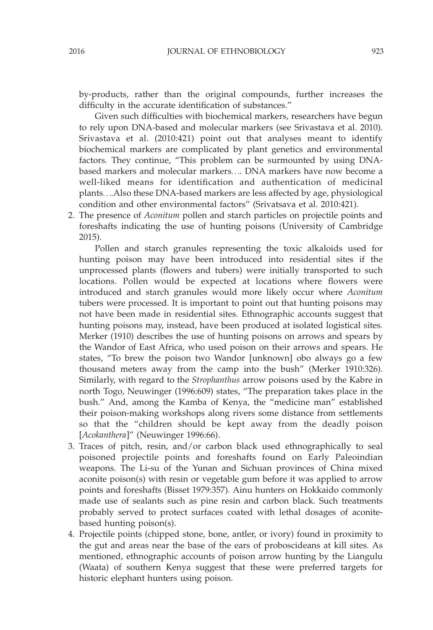by-products, rather than the original compounds, further increases the difficulty in the accurate identification of substances.''

Given such difficulties with biochemical markers, researchers have begun to rely upon DNA-based and molecular markers (see Srivastava et al. 2010). Srivastava et al. (2010:421) point out that analyses meant to identify biochemical markers are complicated by plant genetics and environmental factors. They continue, ''This problem can be surmounted by using DNAbased markers and molecular markers.... DNA markers have now become a well-liked means for identification and authentication of medicinal plants....Also these DNA-based markers are less affected by age, physiological condition and other environmental factors'' (Srivatsava et al. 2010:421).

2. The presence of Aconitum pollen and starch particles on projectile points and foreshafts indicating the use of hunting poisons (University of Cambridge 2015).

Pollen and starch granules representing the toxic alkaloids used for hunting poison may have been introduced into residential sites if the unprocessed plants (flowers and tubers) were initially transported to such locations. Pollen would be expected at locations where flowers were introduced and starch granules would more likely occur where Aconitum tubers were processed. It is important to point out that hunting poisons may not have been made in residential sites. Ethnographic accounts suggest that hunting poisons may, instead, have been produced at isolated logistical sites. Merker (1910) describes the use of hunting poisons on arrows and spears by the Wandor of East Africa, who used poison on their arrows and spears. He states, ''To brew the poison two Wandor [unknown] obo always go a few thousand meters away from the camp into the bush'' (Merker 1910:326). Similarly, with regard to the Strophanthus arrow poisons used by the Kabre in north Togo, Neuwinger (1996:609) states, ''The preparation takes place in the bush.'' And, among the Kamba of Kenya, the ''medicine man'' established their poison-making workshops along rivers some distance from settlements so that the ''children should be kept away from the deadly poison [Acokanthera]" (Neuwinger 1996:66).

- 3. Traces of pitch, resin, and/or carbon black used ethnographically to seal poisoned projectile points and foreshafts found on Early Paleoindian weapons. The Li-su of the Yunan and Sichuan provinces of China mixed aconite poison(s) with resin or vegetable gum before it was applied to arrow points and foreshafts (Bisset 1979:357). Ainu hunters on Hokkaido commonly made use of sealants such as pine resin and carbon black. Such treatments probably served to protect surfaces coated with lethal dosages of aconitebased hunting poison(s).
- 4. Projectile points (chipped stone, bone, antler, or ivory) found in proximity to the gut and areas near the base of the ears of proboscideans at kill sites. As mentioned, ethnographic accounts of poison arrow hunting by the Liangulu (Waata) of southern Kenya suggest that these were preferred targets for historic elephant hunters using poison.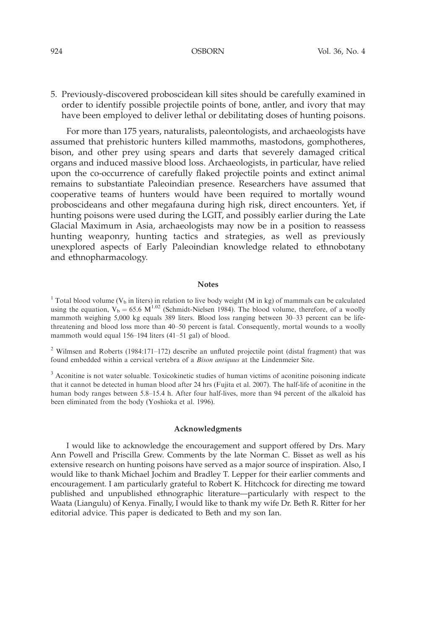5. Previously-discovered proboscidean kill sites should be carefully examined in order to identify possible projectile points of bone, antler, and ivory that may have been employed to deliver lethal or debilitating doses of hunting poisons.

For more than 175 years, naturalists, paleontologists, and archaeologists have assumed that prehistoric hunters killed mammoths, mastodons, gomphotheres, bison, and other prey using spears and darts that severely damaged critical organs and induced massive blood loss. Archaeologists, in particular, have relied upon the co-occurrence of carefully flaked projectile points and extinct animal remains to substantiate Paleoindian presence. Researchers have assumed that cooperative teams of hunters would have been required to mortally wound proboscideans and other megafauna during high risk, direct encounters. Yet, if hunting poisons were used during the LGIT, and possibly earlier during the Late Glacial Maximum in Asia, archaeologists may now be in a position to reassess hunting weaponry, hunting tactics and strategies, as well as previously unexplored aspects of Early Paleoindian knowledge related to ethnobotany and ethnopharmacology.

### Notes

<sup>1</sup> Total blood volume (V<sub>b</sub> in liters) in relation to live body weight (M in kg) of mammals can be calculated using the equation,  $V_b = 65.6 \text{ M}^{1.02}$  (Schmidt-Nielsen 1984). The blood volume, therefore, of a woolly mammoth weighing 5,000 kg equals 389 liters. Blood loss ranging between 30–33 percent can be lifethreatening and blood loss more than 40–50 percent is fatal. Consequently, mortal wounds to a woolly mammoth would equal 156–194 liters (41–51 gal) of blood.

<sup>2</sup> Wilmsen and Roberts (1984:171–172) describe an unfluted projectile point (distal fragment) that was found embedded within a cervical vertebra of a Bison antiquus at the Lindenmeier Site.

<sup>3</sup> Aconitine is not water soluable. Toxicokinetic studies of human victims of aconitine poisoning indicate that it cannot be detected in human blood after 24 hrs (Fujita et al. 2007). The half-life of aconitine in the human body ranges between 5.8–15.4 h. After four half-lives, more than 94 percent of the alkaloid has been eliminated from the body (Yoshioka et al. 1996).

### Acknowledgments

I would like to acknowledge the encouragement and support offered by Drs. Mary Ann Powell and Priscilla Grew. Comments by the late Norman C. Bisset as well as his extensive research on hunting poisons have served as a major source of inspiration. Also, I would like to thank Michael Jochim and Bradley T. Lepper for their earlier comments and encouragement. I am particularly grateful to Robert K. Hitchcock for directing me toward published and unpublished ethnographic literature—particularly with respect to the Waata (Liangulu) of Kenya. Finally, I would like to thank my wife Dr. Beth R. Ritter for her editorial advice. This paper is dedicated to Beth and my son Ian.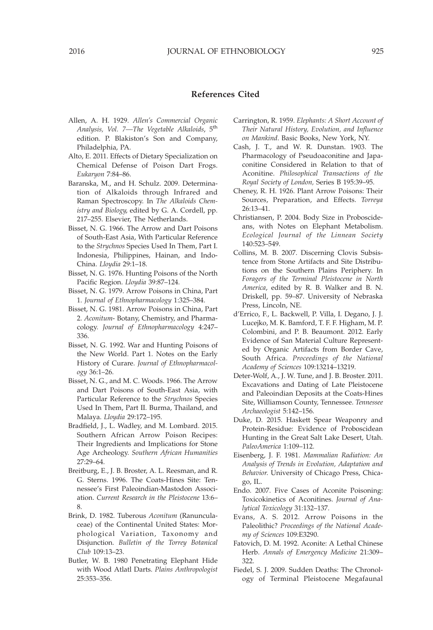### References Cited

- Allen, A. H. 1929. Allen's Commercial Organic Analysis, Vol. 7-The Vegetable Alkaloids, 5<sup>th</sup> edition. P. Blakiston's Son and Company, Philadelphia, PA.
- Alto, E. 2011. Effects of Dietary Specialization on Chemical Defense of Poison Dart Frogs. Eukaryon 7:84–86.
- Baranska, M., and H. Schulz. 2009. Determination of Alkaloids through Infrared and Raman Spectroscopy. In The Alkaloids Chemistry and Biology, edited by G. A. Cordell, pp. 217–255. Elsevier, The Netherlands.
- Bisset, N. G. 1966. The Arrow and Dart Poisons of South-East Asia, With Particular Reference to the Strychnos Species Used In Them, Part I. Indonesia, Philippines, Hainan, and Indo-China. Lloydia 29:1–18.
- Bisset, N. G. 1976. Hunting Poisons of the North Pacific Region. Lloydia 39:87–124.
- Bisset, N. G. 1979. Arrow Poisons in China, Part 1. Journal of Ethnopharmacology 1:325–384.
- Bisset, N. G. 1981. Arrow Poisons in China, Part 2. Aconitum- Botany, Chemistry, and Pharmacology. Journal of Ethnopharmacology 4:247– 336.
- Bisset, N. G. 1992. War and Hunting Poisons of the New World. Part 1. Notes on the Early History of Curare. Journal of Ethnopharmacology 36:1–26.
- Bisset, N. G., and M. C. Woods. 1966. The Arrow and Dart Poisons of South-East Asia, with Particular Reference to the Strychnos Species Used In Them, Part II. Burma, Thailand, and Malaya. Lloydia 29:172–195.
- Bradfield, J., L. Wadley, and M. Lombard. 2015. Southern African Arrow Poison Recipes: Their Ingredients and Implications for Stone Age Archeology. Southern African Humanities 27:29–64.
- Breitburg, E., J. B. Broster, A. L. Reesman, and R. G. Sterns. 1996. The Coats-Hines Site: Tennessee's First Paleoindian-Mastodon Association. Current Research in the Pleistocene 13:6– 8.
- Brink, D. 1982. Tuberous Aconitum (Ranunculaceae) of the Continental United States: Morphological Variation, Taxonomy and Disjunction. Bulletin of the Torrey Botanical Club 109:13–23.
- Butler, W. B. 1980 Penetrating Elephant Hide with Wood Atlatl Darts. Plains Anthropologist 25:353–356.
- Carrington, R. 1959. Elephants: A Short Account of Their Natural History, Evolution, and Influence on Mankind. Basic Books, New York, NY.
- Cash, J. T., and W. R. Dunstan. 1903. The Pharmacology of Pseudoaconitine and Japaconitine Considered in Relation to that of Aconitine. Philosophical Transactions of the Royal Society of London, Series B 195:39–95.
- Cheney, R. H. 1926. Plant Arrow Poisons: Their Sources, Preparation, and Effects. Torreya 26:13–41.
- Christiansen, P. 2004. Body Size in Proboscideans, with Notes on Elephant Metabolism. Ecological Journal of the Linnean Society 140:523–549.
- Collins, M. B. 2007. Discerning Clovis Subsistence from Stone Artifacts and Site Distributions on the Southern Plains Periphery. In Foragers of the Terminal Pleistocene in North America, edited by R. B. Walker and B. N. Driskell, pp. 59–87. University of Nebraska Press, Lincoln, NE.
- d'Errico, F., L. Backwell, P. Villa, I. Degano, J. J. Lucejko, M. K. Bamford, T. F. F. Higham, M. P. Colombini, and P. B. Beaumont. 2012. Early Evidence of San Material Culture Represented by Organic Artifacts from Border Cave, South Africa. Proceedings of the National Academy of Sciences 109:13214–13219.
- Deter-Wolf, A., J. W. Tune, and J. B. Broster. 2011. Excavations and Dating of Late Pleistocene and Paleoindian Deposits at the Coats-Hines Site, Williamson County, Tennessee. Tennessee Archaeologist 5:142–156.
- Duke, D. 2015. Haskett Spear Weaponry and Protein-Residue: Evidence of Proboscidean Hunting in the Great Salt Lake Desert, Utah. PaleoAmerica 1:109–112.
- Eisenberg, J. F. 1981. Mammalian Radiation: An Analysis of Trends in Evolution, Adaptation and Behavior. University of Chicago Press, Chicago, IL.
- Endo. 2007. Five Cases of Aconite Poisoning: Toxicokinetics of Aconitines. Journal of Analytical Toxicology 31:132–137.
- Evans, A. S. 2012. Arrow Poisons in the Paleolithic? Proceedings of the National Academy of Sciences 109:E3290.
- Fatovich, D. M. 1992. Aconite: A Lethal Chinese Herb. Annals of Emergency Medicine 21:309– 322.
- Fiedel, S. J. 2009. Sudden Deaths: The Chronology of Terminal Pleistocene Megafaunal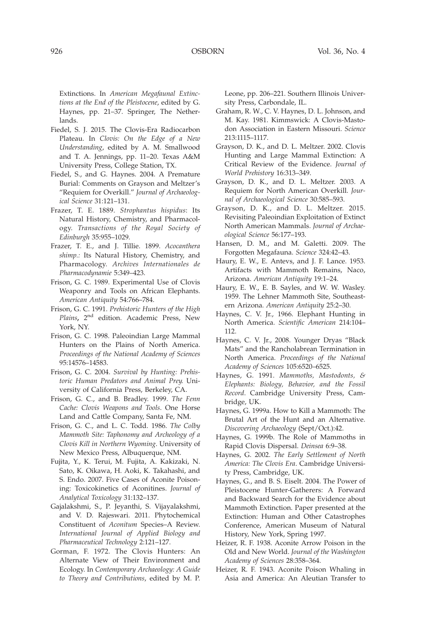Extinctions. In American Megafaunal Extinctions at the End of the Pleistocene, edited by G. Haynes, pp. 21–37. Springer, The Netherlands.

- Fiedel, S. J. 2015. The Clovis-Era Radiocarbon Plateau. In Clovis: On the Edge of a New Understanding, edited by A. M. Smallwood and T. A. Jennings, pp. 11–20. Texas A&M University Press, College Station, TX.
- Fiedel, S., and G. Haynes. 2004. A Premature Burial: Comments on Grayson and Meltzer's ''Requiem for Overkill.'' Journal of Archaeological Science 31:121–131.
- Frazer, T. E. 1889. Strophantus hispidus: Its Natural History, Chemistry, and Pharmacology. Transactions of the Royal Society of Edinburgh 35:955–1029.
- Frazer, T. E., and J. Tillie. 1899. Acocanthera shimp.: Its Natural History, Chemistry, and Pharmacology. Archives Internationales de Pharmacodynamie 5:349–423.
- Frison, G. C. 1989. Experimental Use of Clovis Weaponry and Tools on African Elephants. American Antiquity 54:766–784.
- Frison, G. C. 1991. Prehistoric Hunters of the High Plains, 2<sup>nd</sup> edition. Academic Press, New York, NY.
- Frison, G. C. 1998. Paleoindian Large Mammal Hunters on the Plains of North America. Proceedings of the National Academy of Sciences 95:14576–14583.
- Frison, G. C. 2004. Survival by Hunting: Prehistoric Human Predators and Animal Prey. University of California Press, Berkeley, CA.
- Frison, G. C., and B. Bradley. 1999. The Fenn Cache: Clovis Weapons and Tools. One Horse Land and Cattle Company, Santa Fe, NM.
- Frison, G. C., and L. C. Todd. 1986. The Colby Mammoth Site: Taphonomy and Archeology of a Clovis Kill in Northern Wyoming. University of New Mexico Press, Albuquerque, NM.
- Fujita, Y., K. Terui, M. Fujita, A. Kakizaki, N. Sato, K. Oikawa, H. Aoki, K. Takahashi, and S. Endo. 2007. Five Cases of Aconite Poisoning: Toxicokinetics of Aconitines. Journal of Analytical Toxicology 31:132–137.
- Gajalakshmi, S., P. Jeyanthi, S. Vijayalakshmi, and V. D. Rajeswari. 2011. Phytochemical Constituent of Aconitum Species–A Review. International Journal of Applied Biology and Pharmaceutical Technology 2:121–127.
- Gorman, F. 1972. The Clovis Hunters: An Alternate View of Their Environment and Ecology. In Contemporary Archaeology: A Guide to Theory and Contributions, edited by M. P.

Leone, pp. 206–221. Southern Illinois University Press, Carbondale, IL.

- Graham, R. W., C. V. Haynes, D. L. Johnson, and M. Kay. 1981. Kimmswick: A Clovis-Mastodon Association in Eastern Missouri. Science 213:1115–1117.
- Grayson, D. K., and D. L. Meltzer. 2002. Clovis Hunting and Large Mammal Extinction: A Critical Review of the Evidence. Journal of World Prehistory 16:313–349.
- Grayson, D. K., and D. L. Meltzer. 2003. A Requiem for North American Overkill. Journal of Archaeological Science 30:585–593.
- Grayson, D. K., and D. L. Meltzer. 2015. Revisiting Paleoindian Exploitation of Extinct North American Mammals. Journal of Archaeological Science 56:177–193.
- Hansen, D. M., and M. Galetti. 2009. The Forgotten Megafauna. Science 324:42–43.
- Haury, E. W., E. Antevs, and J. F. Lance. 1953. Artifacts with Mammoth Remains, Naco, Arizona. American Antiquity 19:1–24.
- Haury, E. W., E. B. Sayles, and W. W. Wasley. 1959. The Lehner Mammoth Site, Southeastern Arizona. American Antiquity 25:2–30.
- Haynes, C. V. Jr., 1966. Elephant Hunting in North America. Scientific American 214:104– 112.
- Haynes, C. V. Jr., 2008. Younger Dryas ''Black Mats'' and the Rancholabrean Termination in North America. Proceedings of the National Academy of Sciences 105:6520–6525.
- Haynes, G. 1991. Mammoths, Mastodonts, & Elephants: Biology, Behavior, and the Fossil Record. Cambridge University Press, Cambridge, UK.
- Haynes, G. 1999a. How to Kill a Mammoth: The Brutal Art of the Hunt and an Alternative. Discovering Archaeology (Sept/Oct.):42.
- Haynes, G. 1999b. The Role of Mammoths in Rapid Clovis Dispersal. Deinsea 6:9–38.
- Haynes, G. 2002. The Early Settlement of North America: The Clovis Era. Cambridge University Press, Cambridge, UK.
- Haynes, G., and B. S. Eiselt. 2004. The Power of Pleistocene Hunter-Gatherers: A Forward and Backward Search for the Evidence about Mammoth Extinction. Paper presented at the Extinction: Human and Other Catastrophes Conference, American Museum of Natural History, New York, Spring 1997.
- Heizer, R. F. 1938. Aconite Arrow Poison in the Old and New World. Journal of the Washington Academy of Sciences 28:358–364.
- Heizer, R. F. 1943. Aconite Poison Whaling in Asia and America: An Aleutian Transfer to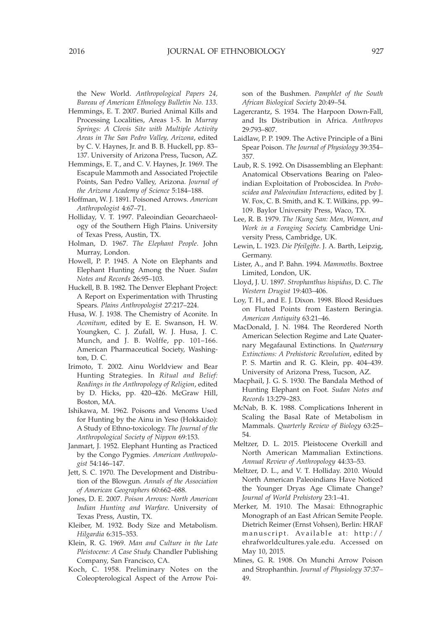the New World. Anthropological Papers 24, Bureau of American Ethnology Bulletin No. 133.

- Hemmings, E. T. 2007. Buried Animal Kills and Processing Localities, Areas 1-5. In Murray Springs: A Clovis Site with Multiple Activity Areas in The San Pedro Valley, Arizona, edited by C. V. Haynes, Jr. and B. B. Huckell, pp. 83– 137. University of Arizona Press, Tucson, AZ.
- Hemmings, E. T., and C. V. Haynes, Jr. 1969. The Escapule Mammoth and Associated Projectile Points, San Pedro Valley, Arizona. Journal of the Arizona Academy of Science 5:184–188.
- Hoffman, W. J. 1891. Poisoned Arrows. American Anthropologist 4:67–71.
- Holliday, V. T. 1997. Paleoindian Geoarchaeology of the Southern High Plains. University of Texas Press, Austin, TX.
- Holman, D. 1967. The Elephant People. John Murray, London.
- Howell, P. P. 1945. A Note on Elephants and Elephant Hunting Among the Nuer. Sudan Notes and Records 26:95–103.
- Huckell, B. B. 1982. The Denver Elephant Project: A Report on Experimentation with Thrusting Spears. Plains Anthropologist 27:217–224.
- Husa, W. J. 1938. The Chemistry of Aconite. In Aconitum, edited by E. E. Swanson, H. W. Youngken, C. J. Zufall, W. J. Husa, J. C. Munch, and J. B. Wolffe, pp. 101–166. American Pharmaceutical Society, Washington, D. C.
- Irimoto, T. 2002. Ainu Worldview and Bear Hunting Strategies. In Ritual and Belief: Readings in the Anthropology of Religion, edited by D. Hicks, pp. 420–426. McGraw Hill, Boston, MA.
- Ishikawa, M. 1962. Poisons and Venoms Used for Hunting by the Ainu in Yeso (Hokkaido): A Study of Ethno-toxicology. The Journal of the Anthropological Society of Nippon 69:153.
- Janmart, J. 1952. Elephant Hunting as Practiced by the Congo Pygmies. American Anthropologist 54:146–147.
- Jett, S. C. 1970. The Development and Distribution of the Blowgun. Annals of the Association of American Geographers 60:662–688.
- Jones, D. E. 2007. Poison Arrows: North American Indian Hunting and Warfare. University of Texas Press, Austin, TX.
- Kleiber, M. 1932. Body Size and Metabolism. Hilgardia 6:315–353.
- Klein, R. G. 1969. Man and Culture in the Late Pleistocene: A Case Study. Chandler Publishing Company, San Francisco, CA.
- Koch, C. 1958. Preliminary Notes on the Coleopterological Aspect of the Arrow Poi-

son of the Bushmen. Pamphlet of the South African Biological Society 20:49–54.

- Lagercrantz, S. 1934. The Harpoon Down-Fall, and Its Distribution in Africa. Anthropos 29:793–807.
- Laidlaw, P. P. 1909. The Active Principle of a Bini Spear Poison. The Journal of Physiology 39:354– 357.
- Laub, R. S. 1992. On Disassembling an Elephant: Anatomical Observations Bearing on Paleoindian Exploitation of Proboscidea. In Proboscidea and Paleoindian Interactions, edited by J. W. Fox, C. B. Smith, and K. T. Wilkins, pp. 99– 109. Baylor University Press, Waco, TX.
- Lee, R. B. 1979. The !Kung San: Men, Women, and Work in a Foraging Society. Cambridge University Press, Cambridge, UK.
- Lewin, L. 1923. Die Pfeilgifte. J. A. Barth, Leipzig, Germany.
- Lister, A., and P. Bahn. 1994. Mammoths. Boxtree Limited, London, UK.
- Lloyd, J. U. 1897. Strophanthus hispidus, D. C. The Western Drugist 19:403–406.
- Loy, T. H., and E. J. Dixon. 1998. Blood Residues on Fluted Points from Eastern Beringia. American Antiquity 63:21–46.
- MacDonald, J. N. 1984. The Reordered North American Selection Regime and Late Quaternary Megafaunal Extinctions. In Quaternary Extinctions: A Prehistoric Revolution, edited by P. S. Martin and R. G. Klein, pp. 404–439. University of Arizona Press, Tucson, AZ.
- Macphail, J. G. S. 1930. The Bandala Method of Hunting Elephant on Foot. Sudan Notes and Records 13:279–283.
- McNab, B. K. 1988. Complications Inherent in Scaling the Basal Rate of Metabolism in Mammals. Quarterly Review of Biology 63:25– 54.
- Meltzer, D. L. 2015. Pleistocene Overkill and North American Mammalian Extinctions. Annual Review of Anthropology 44:33–53.
- Meltzer, D. L., and V. T. Holliday. 2010. Would North American Paleoindians Have Noticed the Younger Dryas Age Climate Change? Journal of World Prehistory 23:1–41.
- Merker, M. 1910. The Masai: Ethnographic Monograph of an East African Semite People. Dietrich Reimer (Ernst Vohsen), Berlin: HRAF manuscript. Available at: http:// ehrafworldcultures.yale.edu. Accessed on May 10, 2015.
- Mines, G. R. 1908. On Munchi Arrow Poison and Strophanthin. Journal of Physiology 37:37– 49.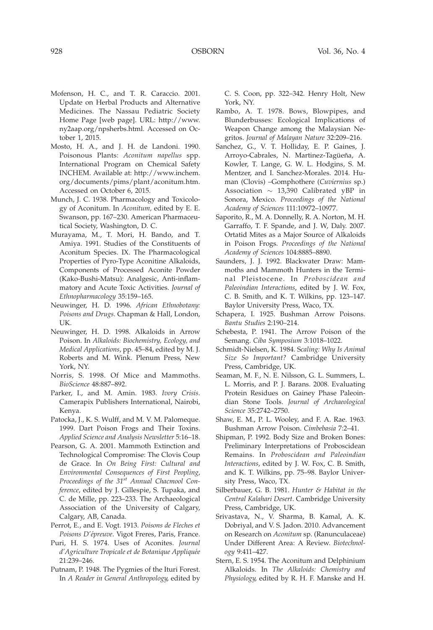- Mofenson, H. C., and T. R. Caraccio. 2001. Update on Herbal Products and Alternative Medicines. The Nassau Pediatric Society Home Page [web page]. URL: http://www. ny2aap.org/npsherbs.html. Accessed on October 1, 2015.
- Mosto, H. A., and J. H. de Landoni. 1990. Poisonous Plants: Aconitum napellus spp. International Program on Chemical Safety INCHEM. Available at: http://www.inchem. org/documents/pims/plant/aconitum.htm. Accessed on October 6, 2015.
- Munch, J. C. 1938. Pharmacology and Toxicology of Aconitum. In Aconitum, edited by E. E. Swanson, pp. 167–230. American Pharmaceutical Society, Washington, D. C.
- Murayama, M., T. Mori, H. Bando, and T. Amiya. 1991. Studies of the Constituents of Aconitum Species. IX. The Pharmacological Properties of Pyro-Type Aconitine Alkaloids, Components of Processed Aconite Powder (Kako-Bushi-Matsu): Analgesic, Anti-inflammatory and Acute Toxic Activities. Journal of Ethnopharmacology 35:159–165.
- Neuwinger, H. D. 1996. African Ethnobotany: Poisons and Drugs. Chapman & Hall, London, UK.
- Neuwinger, H. D. 1998. Alkaloids in Arrow Poison. In Alkaloids: Biochemistry, Ecology, and Medical Applications, pp. 45–84, edited by M. J. Roberts and M. Wink. Plenum Press, New York, NY.
- Norris, S. 1998. Of Mice and Mammoths. BioScience 48:887–892.
- Parker, I., and M. Amin. 1983. Ivory Crisis. Camerapix Publishers International, Nairobi, Kenya.
- Patocka, J., K. S. Wulff, and M. V. M. Palomeque. 1999. Dart Poison Frogs and Their Toxins. Applied Science and Analysis Newsletter 5:16–18.
- Pearson, G. A. 2001. Mammoth Extinction and Technological Compromise: The Clovis Coup de Grace. In On Being First: Cultural and Environmental Consequences of First Peopling, Proceedings of the  $31^{st}$  Annual Chacmool Conference, edited by J. Gillespie, S. Tupaka, and C. de Mille, pp. 223–233. The Archaeological Association of the University of Calgary, Calgary, AB, Canada.
- Perrot, E., and E. Vogt. 1913. Poisons de Fleches et Poisons D'épreuve. Vigot Freres, Paris, France.
- Puri, H. S. 1974. Uses of Aconites. Journal d'Agriculture Tropicale et de Botanique Appliquée 21:239–246.
- Putnam, P. 1948. The Pygmies of the Ituri Forest. In A Reader in General Anthropology, edited by

C. S. Coon, pp. 322–342. Henry Holt, New York, NY.

- Rambo, A. T. 1978. Bows, Blowpipes, and Blunderbusses: Ecological Implications of Weapon Change among the Malaysian Negritos. Journal of Malayan Nature 32:209–216.
- Sanchez, G., V. T. Holliday, E. P. Gaines, J. Arroyo-Cabrales, N. Martinez-Tagüeña, A. Kowler, T. Lange, G. W. L. Hodgins, S. M. Mentzer, and I. Sanchez-Morales. 2014. Human (Clovis) –Gomphothere (Cuviernius sp.) Association  $\sim$  13,390 Calibrated yBP in Sonora, Mexico. Proceedings of the National Academy of Sciences 111:10972–10977.
- Saporito, R., M. A. Donnelly, R. A. Norton, M. H. Garraffo, T. F. Spande, and J. W, Daly. 2007. Ortatid Mites as a Major Source of Alkaloids in Poison Frogs. Proceedings of the National Academy of Sciences 104:8885–8890.
- Saunders, J. J. 1992. Blackwater Draw: Mammoths and Mammoth Hunters in the Terminal Pleistocene. In Proboscidean and Paleoindian Interactions, edited by J. W. Fox, C. B. Smith, and K. T. Wilkins, pp. 123–147. Baylor University Press, Waco, TX.
- Schapera, I. 1925. Bushman Arrow Poisons. Bantu Studies 2:190–214.
- Schebesta, P. 1941. The Arrow Poison of the Semang. Ciba Symposium 3:1018–1022.
- Schmidt-Nielsen, K. 1984. Scaling: Why Is Animal Size So Important? Cambridge University Press, Cambridge, UK.
- Seaman, M. F., N. E. Nilsson, G. L. Summers, L. L. Morris, and P. J. Barans. 2008. Evaluating Protein Residues on Gainey Phase Paleoindian Stone Tools. Journal of Archaeological Science 35:2742–2750.
- Shaw, E. M., P. L. Wooley, and F. A. Rae. 1963. Bushman Arrow Poison. Cimbebasia 7:2–41.
- Shipman, P. 1992. Body Size and Broken Bones: Preliminary Interpretations of Proboscidean Remains. In Proboscidean and Paleoindian Interactions, edited by J. W. Fox, C. B. Smith, and K. T. Wilkins, pp. 75–98. Baylor University Press, Waco, TX.
- Silberbauer, G. B. 1981. Hunter & Habitat in the Central Kalahari Desert. Cambridge University Press, Cambridge, UK.
- Srivastava, N., V. Sharma, B. Kamal, A. K. Dobriyal, and V. S. Jadon. 2010. Advancement on Research on Aconitum sp. (Ranunculaceae) Under Different Area: A Review. Biotechnology 9:411–427.
- Stern, E. S. 1954. The Aconitum and Delphinium Alkaloids. In The Alkaloids: Chemistry and Physiology, edited by R. H. F. Manske and H.